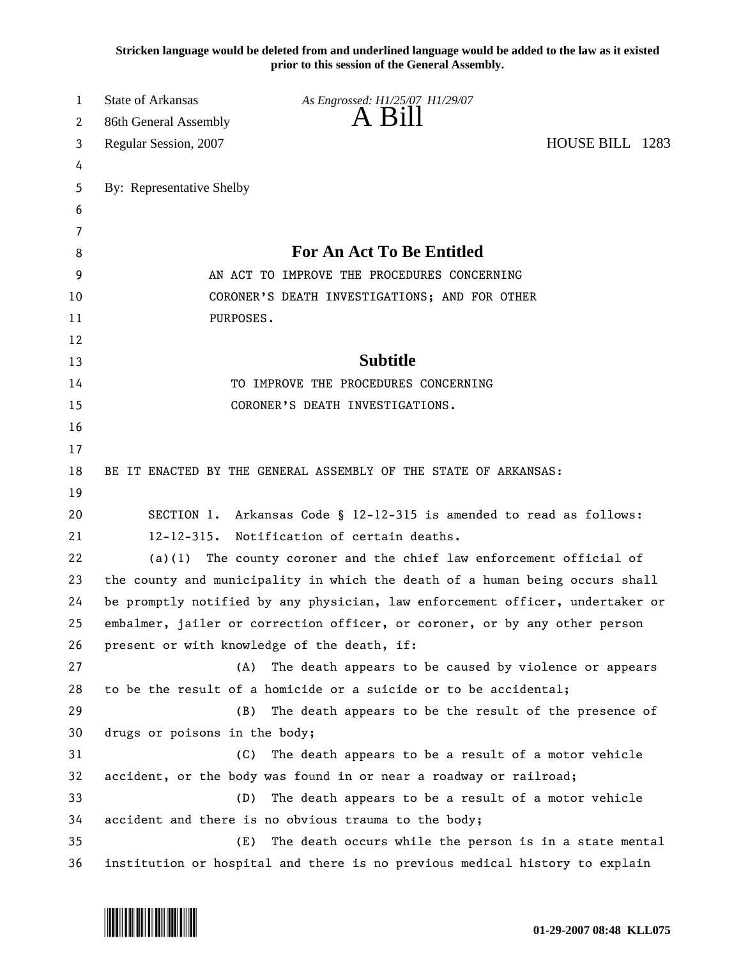**Stricken language would be deleted from and underlined language would be added to the law as it existed prior to this session of the General Assembly.**

| 1  | <b>State of Arkansas</b>                    | As Engrossed: H1/25/07 H1/29/07                                               |                 |
|----|---------------------------------------------|-------------------------------------------------------------------------------|-----------------|
| 2  | 86th General Assembly                       | A Bill                                                                        |                 |
| 3  | Regular Session, 2007                       |                                                                               | HOUSE BILL 1283 |
| 4  |                                             |                                                                               |                 |
| 5  | By: Representative Shelby                   |                                                                               |                 |
| 6  |                                             |                                                                               |                 |
| 7  |                                             |                                                                               |                 |
| 8  |                                             | <b>For An Act To Be Entitled</b>                                              |                 |
| 9  |                                             | AN ACT TO IMPROVE THE PROCEDURES CONCERNING                                   |                 |
| 10 |                                             | CORONER'S DEATH INVESTIGATIONS; AND FOR OTHER                                 |                 |
| 11 | PURPOSES.                                   |                                                                               |                 |
| 12 |                                             |                                                                               |                 |
| 13 |                                             | <b>Subtitle</b>                                                               |                 |
| 14 |                                             | TO IMPROVE THE PROCEDURES CONCERNING                                          |                 |
| 15 |                                             | CORONER'S DEATH INVESTIGATIONS.                                               |                 |
| 16 |                                             |                                                                               |                 |
| 17 |                                             |                                                                               |                 |
| 18 |                                             | BE IT ENACTED BY THE GENERAL ASSEMBLY OF THE STATE OF ARKANSAS:               |                 |
| 19 |                                             |                                                                               |                 |
| 20 |                                             | SECTION 1. Arkansas Code § 12-12-315 is amended to read as follows:           |                 |
| 21 |                                             | 12-12-315. Notification of certain deaths.                                    |                 |
| 22 | (a)(1)                                      | The county coroner and the chief law enforcement official of                  |                 |
| 23 |                                             | the county and municipality in which the death of a human being occurs shall  |                 |
| 24 |                                             | be promptly notified by any physician, law enforcement officer, undertaker or |                 |
| 25 |                                             | embalmer, jailer or correction officer, or coroner, or by any other person    |                 |
| 26 | present or with knowledge of the death, if: |                                                                               |                 |
| 27 | (A)                                         | The death appears to be caused by violence or appears                         |                 |
| 28 |                                             | to be the result of a homicide or a suicide or to be accidental;              |                 |
| 29 | (B)                                         | The death appears to be the result of the presence of                         |                 |
| 30 | drugs or poisons in the body;               |                                                                               |                 |
| 31 | (C)                                         | The death appears to be a result of a motor vehicle                           |                 |
| 32 |                                             | accident, or the body was found in or near a roadway or railroad;             |                 |
| 33 | (D)                                         | The death appears to be a result of a motor vehicle                           |                 |
| 34 |                                             | accident and there is no obvious trauma to the body;                          |                 |
| 35 | (E)                                         | The death occurs while the person is in a state mental                        |                 |
| 36 |                                             | institution or hospital and there is no previous medical history to explain   |                 |

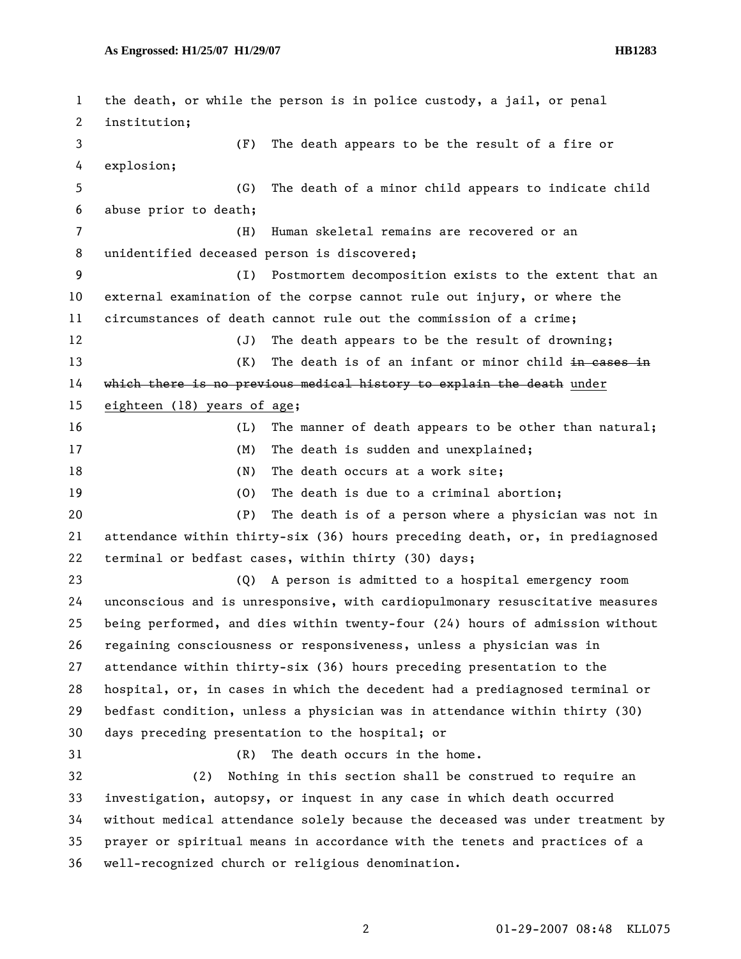1 the death, or while the person is in police custody, a jail, or penal 2 institution; 3 (F) The death appears to be the result of a fire or 4 explosion; 5 (G) The death of a minor child appears to indicate child 6 abuse prior to death; 7 (H) Human skeletal remains are recovered or an 8 unidentified deceased person is discovered; 9 (I) Postmortem decomposition exists to the extent that an 10 external examination of the corpse cannot rule out injury, or where the 11 circumstances of death cannot rule out the commission of a crime; 12 (J) The death appears to be the result of drowning; 13 (K) The death is of an infant or minor child in cases in 14 which there is no previous medical history to explain the death under 15 eighteen (18) years of age; 16 (L) The manner of death appears to be other than natural; 17 (M) The death is sudden and unexplained; 18 (N) The death occurs at a work site; 19 (O) The death is due to a criminal abortion; 20 (P) The death is of a person where a physician was not in 21 attendance within thirty-six (36) hours preceding death, or, in prediagnosed 22 terminal or bedfast cases, within thirty (30) days; 23 (Q) A person is admitted to a hospital emergency room 24 unconscious and is unresponsive, with cardiopulmonary resuscitative measures 25 being performed, and dies within twenty-four (24) hours of admission without 26 regaining consciousness or responsiveness, unless a physician was in 27 attendance within thirty-six (36) hours preceding presentation to the 28 hospital, or, in cases in which the decedent had a prediagnosed terminal or 29 bedfast condition, unless a physician was in attendance within thirty (30) 30 days preceding presentation to the hospital; or 31 (R) The death occurs in the home. 32 (2) Nothing in this section shall be construed to require an 33 investigation, autopsy, or inquest in any case in which death occurred 34 without medical attendance solely because the deceased was under treatment by 35 prayer or spiritual means in accordance with the tenets and practices of a 36 well-recognized church or religious denomination.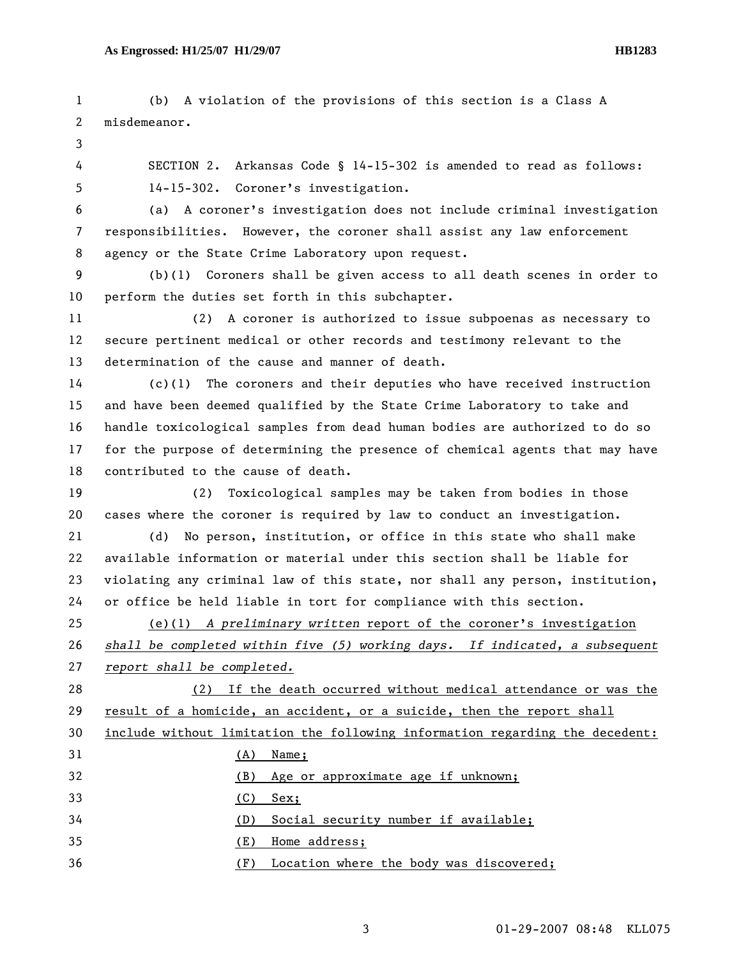1 (b) A violation of the provisions of this section is a Class A 2 misdemeanor. 3 4 SECTION 2. Arkansas Code § 14-15-302 is amended to read as follows: 5 14-15-302. Coroner's investigation. 6 (a) A coroner's investigation does not include criminal investigation 7 responsibilities. However, the coroner shall assist any law enforcement 8 agency or the State Crime Laboratory upon request. 9 (b)(1) Coroners shall be given access to all death scenes in order to 10 perform the duties set forth in this subchapter. 11 (2) A coroner is authorized to issue subpoenas as necessary to 12 secure pertinent medical or other records and testimony relevant to the 13 determination of the cause and manner of death. 14 (c)(1) The coroners and their deputies who have received instruction 15 and have been deemed qualified by the State Crime Laboratory to take and 16 handle toxicological samples from dead human bodies are authorized to do so 17 for the purpose of determining the presence of chemical agents that may have 18 contributed to the cause of death. 19 (2) Toxicological samples may be taken from bodies in those 20 cases where the coroner is required by law to conduct an investigation. 21 (d) No person, institution, or office in this state who shall make 22 available information or material under this section shall be liable for 23 violating any criminal law of this state, nor shall any person, institution, 24 or office be held liable in tort for compliance with this section. 25 (e)(1) *A preliminary written* report of the coroner's investigation 26 *shall be completed within five (5) working days. If indicated, a subsequent*  27 *report shall be completed.* 28 (2) If the death occurred without medical attendance or was the 29 result of a homicide, an accident, or a suicide, then the report shall 30 include without limitation the following information regarding the decedent: 31 (A) Name; 32 (B) Age or approximate age if unknown; 33 (C) Sex; 34 (D) Social security number if available; 35 (E) Home address; 36 (F) Location where the body was discovered;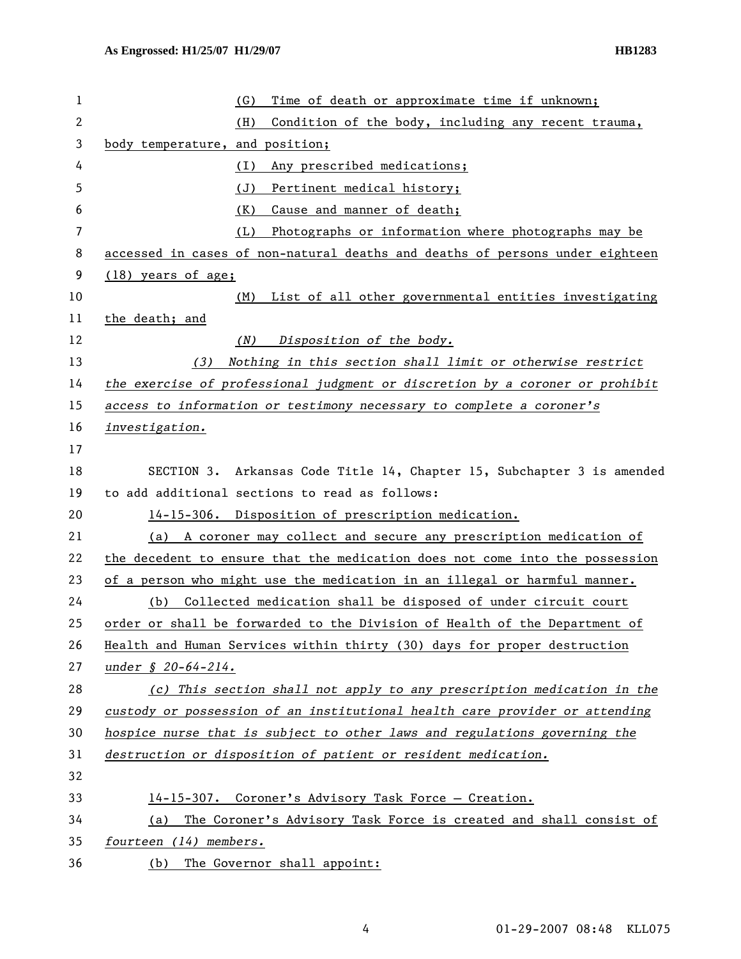| 1              | Time of death or approximate time if unknown;<br>(G)                         |  |  |
|----------------|------------------------------------------------------------------------------|--|--|
| 2              | (H)<br>Condition of the body, including any recent trauma,                   |  |  |
| 3              | body temperature, and position;                                              |  |  |
| 4              | Any prescribed medications;<br>(I)                                           |  |  |
| 5              | (J)<br>Pertinent medical history;                                            |  |  |
| 6              | (K)<br>Cause and manner of death;                                            |  |  |
| $\overline{7}$ | Photographs or information where photographs may be<br>(L)                   |  |  |
| 8              | accessed in cases of non-natural deaths and deaths of persons under eighteen |  |  |
| 9              | (18) years of age;                                                           |  |  |
| 10             | List of all other governmental entities investigating<br>(M)                 |  |  |
| 11             | the death; and                                                               |  |  |
| 12             | Disposition of the body.<br>(N)                                              |  |  |
| 13             | Nothing in this section shall limit or otherwise restrict<br>(3)             |  |  |
| 14             | the exercise of professional judgment or discretion by a coroner or prohibit |  |  |
| 15             | access to information or testimony necessary to complete a coroner's         |  |  |
| 16             | investigation.                                                               |  |  |
| 17             |                                                                              |  |  |
| 18             | Arkansas Code Title 14, Chapter 15, Subchapter 3 is amended<br>SECTION 3.    |  |  |
| 19             | to add additional sections to read as follows:                               |  |  |
| 20             | 14-15-306. Disposition of prescription medication.                           |  |  |
| 21             | (a) A coroner may collect and secure any prescription medication of          |  |  |
| 22             | the decedent to ensure that the medication does not come into the possession |  |  |
| 23             | of a person who might use the medication in an illegal or harmful manner.    |  |  |
| 24             | Collected medication shall be disposed of under circuit court<br>(b)         |  |  |
| 25             | order or shall be forwarded to the Division of Health of the Department of   |  |  |
| 26             | Health and Human Services within thirty (30) days for proper destruction     |  |  |
| 27             | under § 20-64-214.                                                           |  |  |
| 28             | (c) This section shall not apply to any prescription medication in the       |  |  |
| 29             | custody or possession of an institutional health care provider or attending  |  |  |
| 30             | hospice nurse that is subject to other laws and regulations governing the    |  |  |
| 31             | destruction or disposition of patient or resident medication.                |  |  |
| 32             |                                                                              |  |  |
| 33             | 14-15-307. Coroner's Advisory Task Force - Creation.                         |  |  |
| 34             | The Coroner's Advisory Task Force is created and shall consist of<br>(a)     |  |  |
| 35             | fourteen (14) members.                                                       |  |  |
| 36             | The Governor shall appoint:<br>(b)                                           |  |  |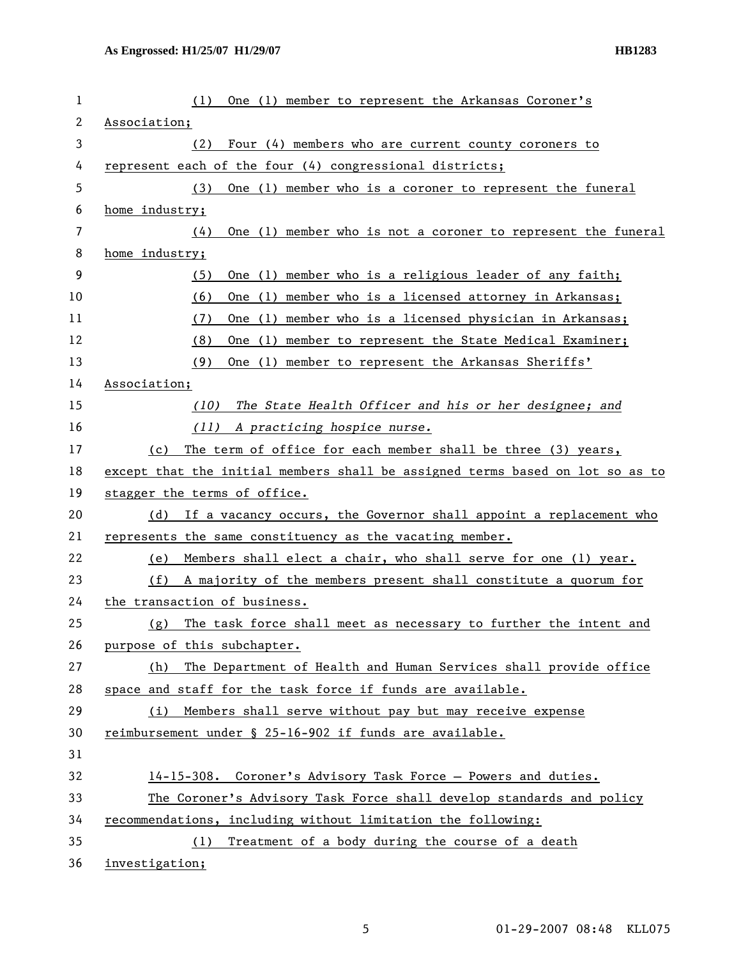| 1  | One (1) member to represent the Arkansas Coroner's<br>(1)                     |  |  |
|----|-------------------------------------------------------------------------------|--|--|
| 2  | Association;                                                                  |  |  |
| 3  | Four (4) members who are current county coroners to<br>(2)                    |  |  |
| 4  | represent each of the four (4) congressional districts;                       |  |  |
| 5  | One (1) member who is a coroner to represent the funeral<br>(3)               |  |  |
| 6  | home industry;                                                                |  |  |
| 7  | One (1) member who is not a coroner to represent the funeral<br>(4)           |  |  |
| 8  | home industry;                                                                |  |  |
| 9  | One (1) member who is a religious leader of any faith;<br>(5)                 |  |  |
| 10 | One (1) member who is a licensed attorney in Arkansas;<br>(6)                 |  |  |
| 11 | One (1) member who is a licensed physician in Arkansas;<br>(7)                |  |  |
| 12 | (8)<br>One (1) member to represent the State Medical Examiner;                |  |  |
| 13 | (9)<br>One (1) member to represent the Arkansas Sheriffs'                     |  |  |
| 14 | Association;                                                                  |  |  |
| 15 | The State Health Officer and his or her designee; and<br>(10)                 |  |  |
| 16 | A practicing hospice nurse.<br>(11)                                           |  |  |
| 17 | The term of office for each member shall be three (3) years,<br>(c)           |  |  |
| 18 | except that the initial members shall be assigned terms based on lot so as to |  |  |
| 19 | stagger the terms of office.                                                  |  |  |
| 20 | If a vacancy occurs, the Governor shall appoint a replacement who<br>(d)      |  |  |
| 21 | represents the same constituency as the vacating member.                      |  |  |
| 22 | Members shall elect a chair, who shall serve for one (1) year.<br>(e)         |  |  |
| 23 | A majority of the members present shall constitute a quorum for<br>(f)        |  |  |
| 24 | the transaction of business.                                                  |  |  |
| 25 | The task force shall meet as necessary to further the intent and<br>(g)       |  |  |
| 26 | purpose of this subchapter.                                                   |  |  |
| 27 | The Department of Health and Human Services shall provide office<br>(h)       |  |  |
| 28 | space and staff for the task force if funds are available.                    |  |  |
| 29 | Members shall serve without pay but may receive expense<br>(i)                |  |  |
| 30 | reimbursement under § 25-16-902 if funds are available.                       |  |  |
| 31 |                                                                               |  |  |
| 32 | 14-15-308. Coroner's Advisory Task Force - Powers and duties.                 |  |  |
| 33 | The Coroner's Advisory Task Force shall develop standards and policy          |  |  |
| 34 | recommendations, including without limitation the following:                  |  |  |
| 35 | Treatment of a body during the course of a death<br>(1)                       |  |  |
| 36 | investigation;                                                                |  |  |